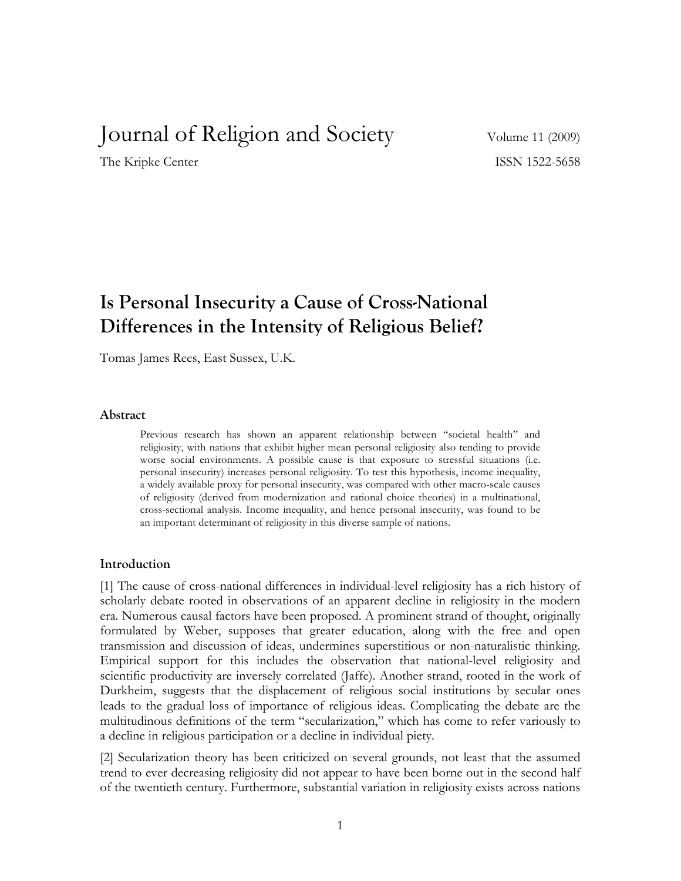# Journal of Religion and Society Volume 11 (2009)

The Kripke Center ISSN 1522-5658

# **Is Personal Insecurity a Cause of Cross-National Differences in the Intensity of Religious Belief?**

Tomas James Rees, East Sussex, U.K.

#### **Abstract**

Previous research has shown an apparent relationship between "societal health" and religiosity, with nations that exhibit higher mean personal religiosity also tending to provide worse social environments. A possible cause is that exposure to stressful situations (i.e. personal insecurity) increases personal religiosity. To test this hypothesis, income inequality, a widely available proxy for personal insecurity, was compared with other macro-scale causes of religiosity (derived from modernization and rational choice theories) in a multinational, cross-sectional analysis. Income inequality, and hence personal insecurity, was found to be an important determinant of religiosity in this diverse sample of nations.

#### **Introduction**

[1] The cause of cross-national differences in individual-level religiosity has a rich history of scholarly debate rooted in observations of an apparent decline in religiosity in the modern era. Numerous causal factors have been proposed. A prominent strand of thought, originally formulated by Weber, supposes that greater education, along with the free and open transmission and discussion of ideas, undermines superstitious or non-naturalistic thinking. Empirical support for this includes the observation that national-level religiosity and scientific productivity are inversely correlated (Jaffe). Another strand, rooted in the work of Durkheim, suggests that the displacement of religious social institutions by secular ones leads to the gradual loss of importance of religious ideas. Complicating the debate are the multitudinous definitions of the term "secularization," which has come to refer variously to a decline in religious participation or a decline in individual piety.

[2] Secularization theory has been criticized on several grounds, not least that the assumed trend to ever decreasing religiosity did not appear to have been borne out in the second half of the twentieth century. Furthermore, substantial variation in religiosity exists across nations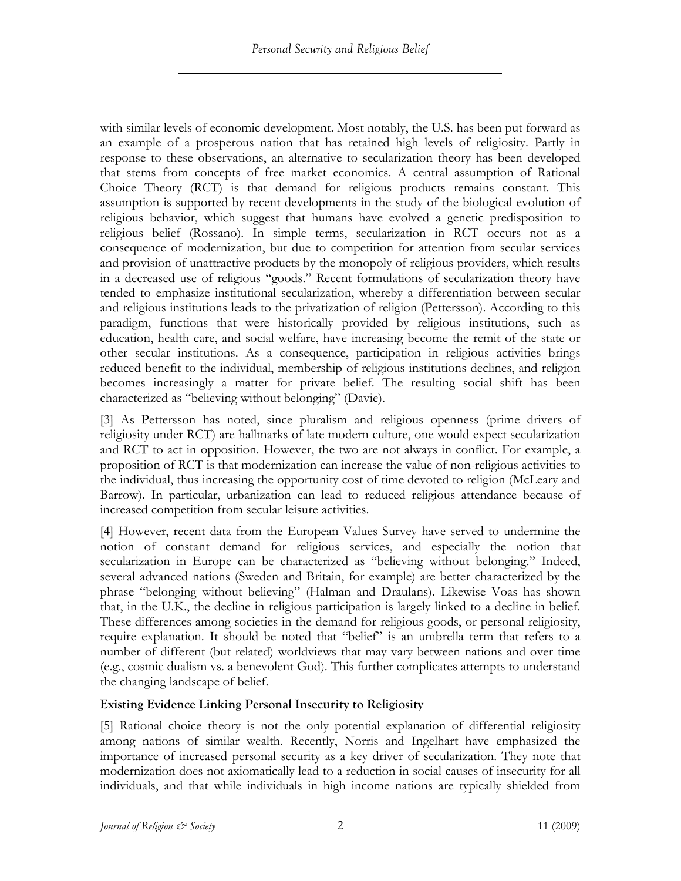with similar levels of economic development. Most notably, the U.S. has been put forward as an example of a prosperous nation that has retained high levels of religiosity. Partly in response to these observations, an alternative to secularization theory has been developed that stems from concepts of free market economics. A central assumption of Rational Choice Theory (RCT) is that demand for religious products remains constant. This assumption is supported by recent developments in the study of the biological evolution of religious behavior, which suggest that humans have evolved a genetic predisposition to religious belief (Rossano). In simple terms, secularization in RCT occurs not as a consequence of modernization, but due to competition for attention from secular services and provision of unattractive products by the monopoly of religious providers, which results in a decreased use of religious "goods." Recent formulations of secularization theory have tended to emphasize institutional secularization, whereby a differentiation between secular and religious institutions leads to the privatization of religion (Pettersson). According to this paradigm, functions that were historically provided by religious institutions, such as education, health care, and social welfare, have increasing become the remit of the state or other secular institutions. As a consequence, participation in religious activities brings reduced benefit to the individual, membership of religious institutions declines, and religion becomes increasingly a matter for private belief. The resulting social shift has been characterized as "believing without belonging" (Davie).

[3] As Pettersson has noted, since pluralism and religious openness (prime drivers of religiosity under RCT) are hallmarks of late modern culture, one would expect secularization and RCT to act in opposition. However, the two are not always in conflict. For example, a proposition of RCT is that modernization can increase the value of non-religious activities to the individual, thus increasing the opportunity cost of time devoted to religion (McLeary and Barrow). In particular, urbanization can lead to reduced religious attendance because of increased competition from secular leisure activities.

[4] However, recent data from the European Values Survey have served to undermine the notion of constant demand for religious services, and especially the notion that secularization in Europe can be characterized as "believing without belonging." Indeed, several advanced nations (Sweden and Britain, for example) are better characterized by the phrase "belonging without believing" (Halman and Draulans). Likewise Voas has shown that, in the U.K., the decline in religious participation is largely linked to a decline in belief. These differences among societies in the demand for religious goods, or personal religiosity, require explanation. It should be noted that "belief" is an umbrella term that refers to a number of different (but related) worldviews that may vary between nations and over time (e.g., cosmic dualism vs. a benevolent God). This further complicates attempts to understand the changing landscape of belief.

## **Existing Evidence Linking Personal Insecurity to Religiosity**

[5] Rational choice theory is not the only potential explanation of differential religiosity among nations of similar wealth. Recently, Norris and Ingelhart have emphasized the importance of increased personal security as a key driver of secularization. They note that modernization does not axiomatically lead to a reduction in social causes of insecurity for all individuals, and that while individuals in high income nations are typically shielded from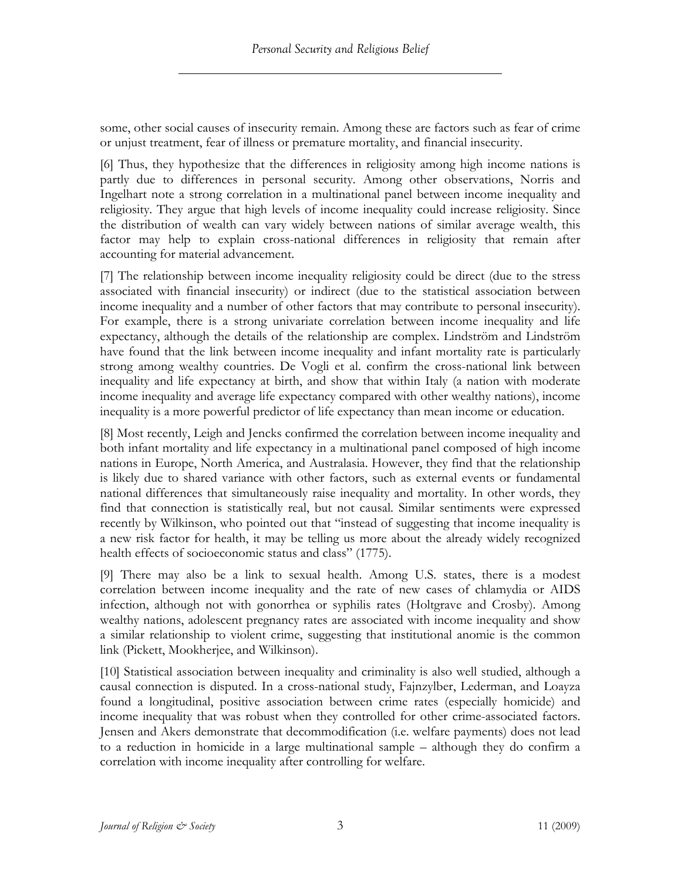some, other social causes of insecurity remain. Among these are factors such as fear of crime or unjust treatment, fear of illness or premature mortality, and financial insecurity.

[6] Thus, they hypothesize that the differences in religiosity among high income nations is partly due to differences in personal security. Among other observations, Norris and Ingelhart note a strong correlation in a multinational panel between income inequality and religiosity. They argue that high levels of income inequality could increase religiosity. Since the distribution of wealth can vary widely between nations of similar average wealth, this factor may help to explain cross-national differences in religiosity that remain after accounting for material advancement.

[7] The relationship between income inequality religiosity could be direct (due to the stress associated with financial insecurity) or indirect (due to the statistical association between income inequality and a number of other factors that may contribute to personal insecurity). For example, there is a strong univariate correlation between income inequality and life expectancy, although the details of the relationship are complex. Lindström and Lindström have found that the link between income inequality and infant mortality rate is particularly strong among wealthy countries. De Vogli et al. confirm the cross-national link between inequality and life expectancy at birth, and show that within Italy (a nation with moderate income inequality and average life expectancy compared with other wealthy nations), income inequality is a more powerful predictor of life expectancy than mean income or education.

[8] Most recently, Leigh and Jencks confirmed the correlation between income inequality and both infant mortality and life expectancy in a multinational panel composed of high income nations in Europe, North America, and Australasia. However, they find that the relationship is likely due to shared variance with other factors, such as external events or fundamental national differences that simultaneously raise inequality and mortality. In other words, they find that connection is statistically real, but not causal. Similar sentiments were expressed recently by Wilkinson, who pointed out that "instead of suggesting that income inequality is a new risk factor for health, it may be telling us more about the already widely recognized health effects of socioeconomic status and class" (1775).

[9] There may also be a link to sexual health. Among U.S. states, there is a modest correlation between income inequality and the rate of new cases of chlamydia or AIDS infection, although not with gonorrhea or syphilis rates (Holtgrave and Crosby). Among wealthy nations, adolescent pregnancy rates are associated with income inequality and show a similar relationship to violent crime, suggesting that institutional anomie is the common link (Pickett, Mookherjee, and Wilkinson).

[10] Statistical association between inequality and criminality is also well studied, although a causal connection is disputed. In a cross-national study, Fajnzylber, Lederman, and Loayza found a longitudinal, positive association between crime rates (especially homicide) and income inequality that was robust when they controlled for other crime-associated factors. Jensen and Akers demonstrate that decommodification (i.e. welfare payments) does not lead to a reduction in homicide in a large multinational sample – although they do confirm a correlation with income inequality after controlling for welfare.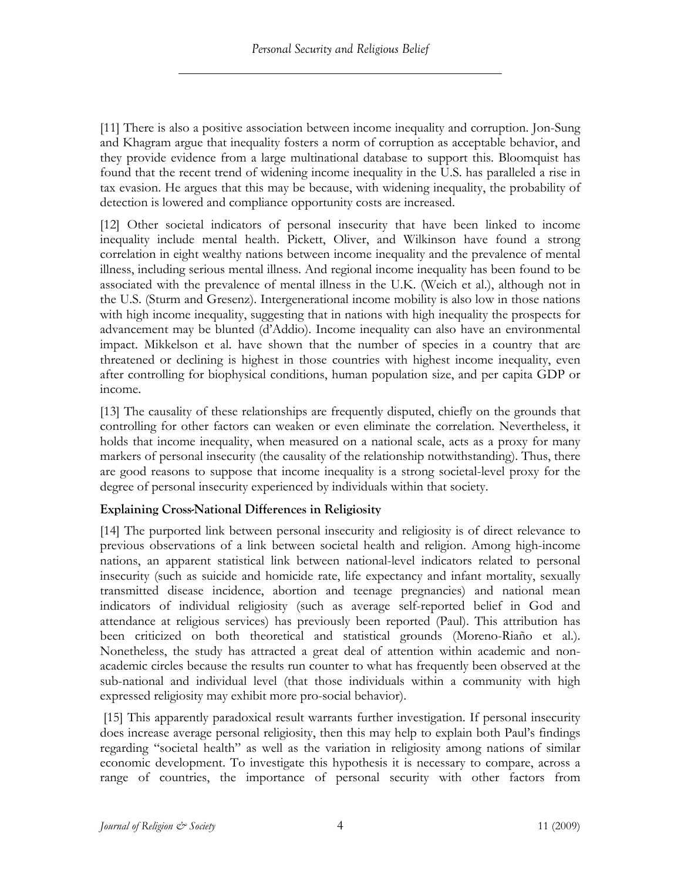[11] There is also a positive association between income inequality and corruption. Jon-Sung and Khagram argue that inequality fosters a norm of corruption as acceptable behavior, and they provide evidence from a large multinational database to support this. Bloomquist has found that the recent trend of widening income inequality in the U.S. has paralleled a rise in tax evasion. He argues that this may be because, with widening inequality, the probability of detection is lowered and compliance opportunity costs are increased.

[12] Other societal indicators of personal insecurity that have been linked to income inequality include mental health. Pickett, Oliver, and Wilkinson have found a strong correlation in eight wealthy nations between income inequality and the prevalence of mental illness, including serious mental illness. And regional income inequality has been found to be associated with the prevalence of mental illness in the U.K. (Weich et al.), although not in the U.S. (Sturm and Gresenz). Intergenerational income mobility is also low in those nations with high income inequality, suggesting that in nations with high inequality the prospects for advancement may be blunted (d'Addio). Income inequality can also have an environmental impact. Mikkelson et al. have shown that the number of species in a country that are threatened or declining is highest in those countries with highest income inequality, even after controlling for biophysical conditions, human population size, and per capita GDP or income.

[13] The causality of these relationships are frequently disputed, chiefly on the grounds that controlling for other factors can weaken or even eliminate the correlation. Nevertheless, it holds that income inequality, when measured on a national scale, acts as a proxy for many markers of personal insecurity (the causality of the relationship notwithstanding). Thus, there are good reasons to suppose that income inequality is a strong societal-level proxy for the degree of personal insecurity experienced by individuals within that society.

## **Explaining Cross-National Differences in Religiosity**

[14] The purported link between personal insecurity and religiosity is of direct relevance to previous observations of a link between societal health and religion. Among high-income nations, an apparent statistical link between national-level indicators related to personal insecurity (such as suicide and homicide rate, life expectancy and infant mortality, sexually transmitted disease incidence, abortion and teenage pregnancies) and national mean indicators of individual religiosity (such as average self-reported belief in God and attendance at religious services) has previously been reported (Paul). This attribution has been criticized on both theoretical and statistical grounds (Moreno-Riaño et al.). Nonetheless, the study has attracted a great deal of attention within academic and nonacademic circles because the results run counter to what has frequently been observed at the sub-national and individual level (that those individuals within a community with high expressed religiosity may exhibit more pro-social behavior).

[15] This apparently paradoxical result warrants further investigation. If personal insecurity does increase average personal religiosity, then this may help to explain both Paul's findings regarding "societal health" as well as the variation in religiosity among nations of similar economic development. To investigate this hypothesis it is necessary to compare, across a range of countries, the importance of personal security with other factors from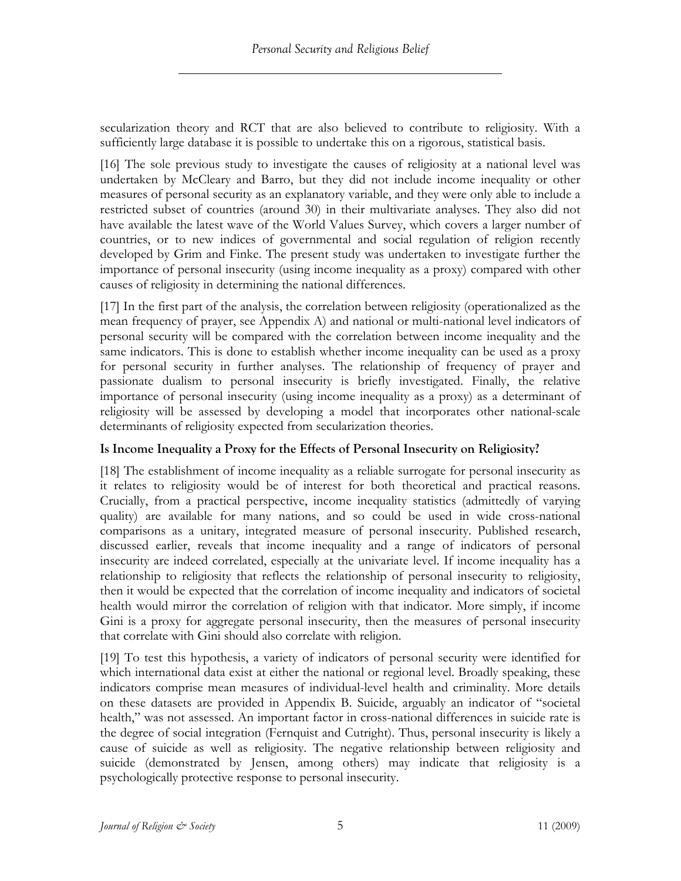secularization theory and RCT that are also believed to contribute to religiosity. With a sufficiently large database it is possible to undertake this on a rigorous, statistical basis.

[16] The sole previous study to investigate the causes of religiosity at a national level was undertaken by McCleary and Barro, but they did not include income inequality or other measures of personal security as an explanatory variable, and they were only able to include a restricted subset of countries (around 30) in their multivariate analyses. They also did not have available the latest wave of the World Values Survey, which covers a larger number of countries, or to new indices of governmental and social regulation of religion recently developed by Grim and Finke. The present study was undertaken to investigate further the importance of personal insecurity (using income inequality as a proxy) compared with other causes of religiosity in determining the national differences.

[17] In the first part of the analysis, the correlation between religiosity (operationalized as the mean frequency of prayer, see Appendix A) and national or multi-national level indicators of personal security will be compared with the correlation between income inequality and the same indicators. This is done to establish whether income inequality can be used as a proxy for personal security in further analyses. The relationship of frequency of prayer and passionate dualism to personal insecurity is briefly investigated. Finally, the relative importance of personal insecurity (using income inequality as a proxy) as a determinant of religiosity will be assessed by developing a model that incorporates other national-scale determinants of religiosity expected from secularization theories.

## **Is Income Inequality a Proxy for the Effects of Personal Insecurity on Religiosity?**

[18] The establishment of income inequality as a reliable surrogate for personal insecurity as it relates to religiosity would be of interest for both theoretical and practical reasons. Crucially, from a practical perspective, income inequality statistics (admittedly of varying quality) are available for many nations, and so could be used in wide cross-national comparisons as a unitary, integrated measure of personal insecurity. Published research, discussed earlier, reveals that income inequality and a range of indicators of personal insecurity are indeed correlated, especially at the univariate level. If income inequality has a relationship to religiosity that reflects the relationship of personal insecurity to religiosity, then it would be expected that the correlation of income inequality and indicators of societal health would mirror the correlation of religion with that indicator. More simply, if income Gini is a proxy for aggregate personal insecurity, then the measures of personal insecurity that correlate with Gini should also correlate with religion.

[19] To test this hypothesis, a variety of indicators of personal security were identified for which international data exist at either the national or regional level. Broadly speaking, these indicators comprise mean measures of individual-level health and criminality. More details on these datasets are provided in Appendix B. Suicide, arguably an indicator of "societal health," was not assessed. An important factor in cross-national differences in suicide rate is the degree of social integration (Fernquist and Cutright). Thus, personal insecurity is likely a cause of suicide as well as religiosity. The negative relationship between religiosity and suicide (demonstrated by Jensen, among others) may indicate that religiosity is a psychologically protective response to personal insecurity.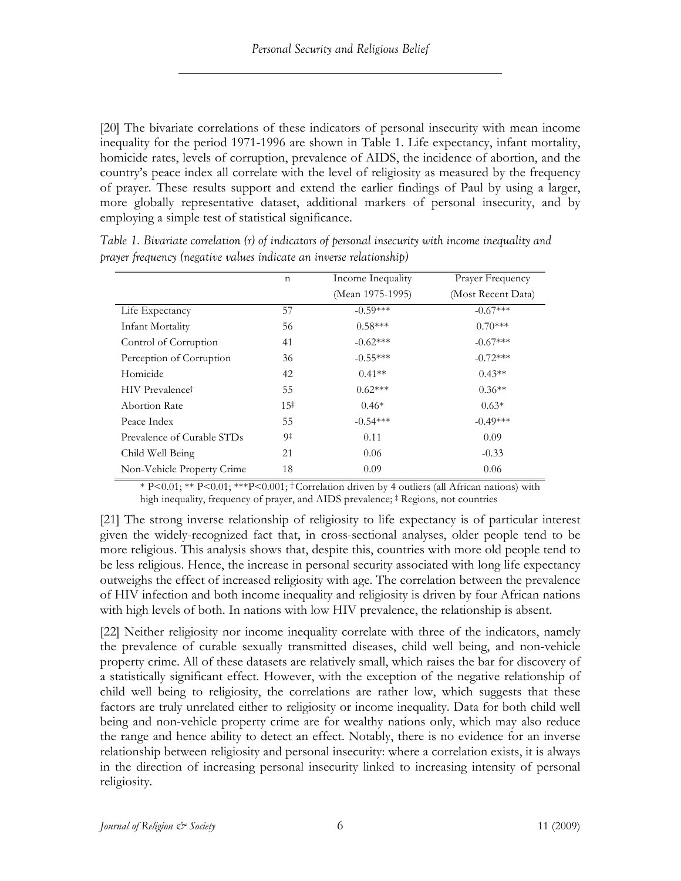[20] The bivariate correlations of these indicators of personal insecurity with mean income inequality for the period 1971-1996 are shown in Table 1. Life expectancy, infant mortality, homicide rates, levels of corruption, prevalence of AIDS, the incidence of abortion, and the country's peace index all correlate with the level of religiosity as measured by the frequency of prayer. These results support and extend the earlier findings of Paul by using a larger, more globally representative dataset, additional markers of personal insecurity, and by employing a simple test of statistical significance.

|                                    | $\mathbf n$     | Income Inequality | Prayer Frequency   |
|------------------------------------|-----------------|-------------------|--------------------|
|                                    |                 | (Mean 1975-1995)  | (Most Recent Data) |
| Life Expectancy                    | 57              | $-0.59***$        | $-0.67***$         |
| Infant Mortality                   | 56              | $0.58***$         | $0.70***$          |
| Control of Corruption              | 41              | $-0.62***$        | $-0.67***$         |
| Perception of Corruption           | 36              | $-0.55***$        | $-0.72***$         |
| Homicide                           | 42              | $0.41**$          | $0.43**$           |
| <b>HIV</b> Prevalence <sup>†</sup> | 55              | $0.62***$         | $0.36**$           |
| <b>Abortion Rate</b>               | 15 <sup>‡</sup> | $0.46*$           | $0.63*$            |
| Peace Index                        | 55              | $-0.54***$        | $-0.49***$         |
| Prevalence of Curable STDs         | 9‡              | 0.11              | 0.09               |
| Child Well Being                   | 21              | 0.06              | $-0.33$            |
| Non-Vehicle Property Crime         | 18              | 0.09              | 0.06               |

*Table 1. Bivariate correlation (r) of indicators of personal insecurity with income inequality and prayer frequency (negative values indicate an inverse relationship)*

\* P<0.01; \*\* P<0.01; \*\*\*P<0.001; † Correlation driven by 4 outliers (all African nations) with high inequality, frequency of prayer, and AIDS prevalence;  $\ddagger$  Regions, not countries

[21] The strong inverse relationship of religiosity to life expectancy is of particular interest given the widely-recognized fact that, in cross-sectional analyses, older people tend to be more religious. This analysis shows that, despite this, countries with more old people tend to be less religious. Hence, the increase in personal security associated with long life expectancy outweighs the effect of increased religiosity with age. The correlation between the prevalence of HIV infection and both income inequality and religiosity is driven by four African nations with high levels of both. In nations with low HIV prevalence, the relationship is absent.

[22] Neither religiosity nor income inequality correlate with three of the indicators, namely the prevalence of curable sexually transmitted diseases, child well being, and non-vehicle property crime. All of these datasets are relatively small, which raises the bar for discovery of a statistically significant effect. However, with the exception of the negative relationship of child well being to religiosity, the correlations are rather low, which suggests that these factors are truly unrelated either to religiosity or income inequality. Data for both child well being and non-vehicle property crime are for wealthy nations only, which may also reduce the range and hence ability to detect an effect. Notably, there is no evidence for an inverse relationship between religiosity and personal insecurity: where a correlation exists, it is always in the direction of increasing personal insecurity linked to increasing intensity of personal religiosity.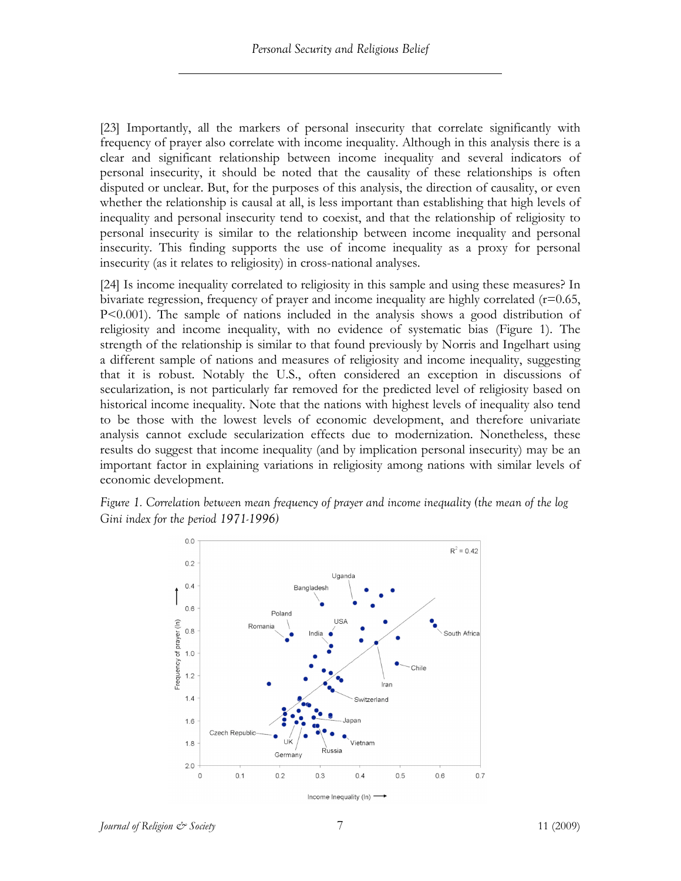[23] Importantly, all the markers of personal insecurity that correlate significantly with frequency of prayer also correlate with income inequality. Although in this analysis there is a clear and significant relationship between income inequality and several indicators of personal insecurity, it should be noted that the causality of these relationships is often disputed or unclear. But, for the purposes of this analysis, the direction of causality, or even whether the relationship is causal at all, is less important than establishing that high levels of inequality and personal insecurity tend to coexist, and that the relationship of religiosity to personal insecurity is similar to the relationship between income inequality and personal insecurity. This finding supports the use of income inequality as a proxy for personal insecurity (as it relates to religiosity) in cross-national analyses.

[24] Is income inequality correlated to religiosity in this sample and using these measures? In bivariate regression, frequency of prayer and income inequality are highly correlated (r=0.65, P<0.001). The sample of nations included in the analysis shows a good distribution of religiosity and income inequality, with no evidence of systematic bias (Figure 1). The strength of the relationship is similar to that found previously by Norris and Ingelhart using a different sample of nations and measures of religiosity and income inequality, suggesting that it is robust. Notably the U.S., often considered an exception in discussions of secularization, is not particularly far removed for the predicted level of religiosity based on historical income inequality. Note that the nations with highest levels of inequality also tend to be those with the lowest levels of economic development, and therefore univariate analysis cannot exclude secularization effects due to modernization. Nonetheless, these results do suggest that income inequality (and by implication personal insecurity) may be an important factor in explaining variations in religiosity among nations with similar levels of economic development.

*Figure 1. Correlation between mean frequency of prayer and income inequality (the mean of the log Gini index for the period 1971-1996)*

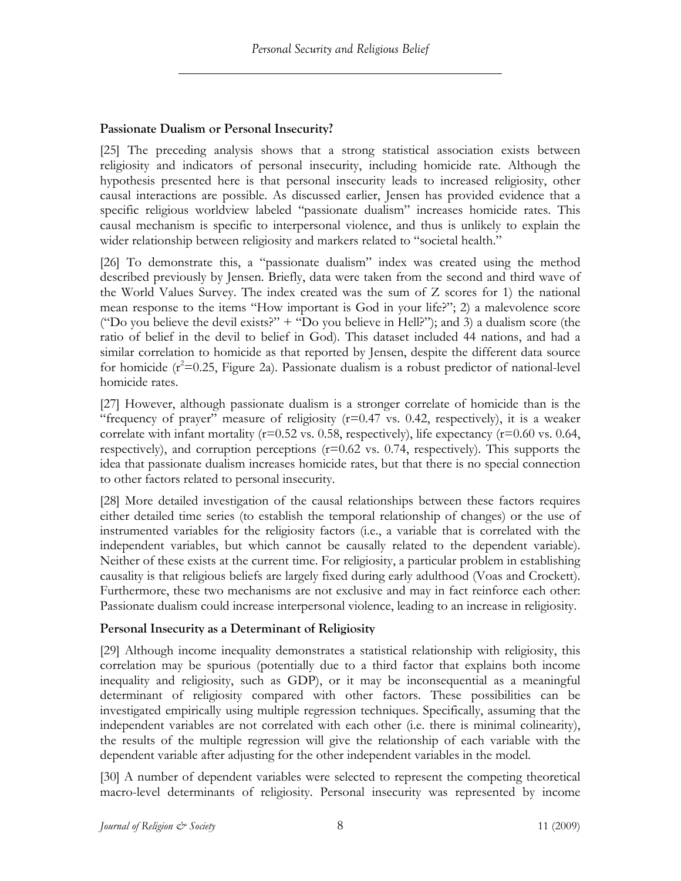## **Passionate Dualism or Personal Insecurity?**

[25] The preceding analysis shows that a strong statistical association exists between religiosity and indicators of personal insecurity, including homicide rate. Although the hypothesis presented here is that personal insecurity leads to increased religiosity, other causal interactions are possible. As discussed earlier, Jensen has provided evidence that a specific religious worldview labeled "passionate dualism" increases homicide rates. This causal mechanism is specific to interpersonal violence, and thus is unlikely to explain the wider relationship between religiosity and markers related to "societal health."

[26] To demonstrate this, a "passionate dualism" index was created using the method described previously by Jensen. Briefly, data were taken from the second and third wave of the World Values Survey. The index created was the sum of Z scores for 1) the national mean response to the items "How important is God in your life?"; 2) a malevolence score ("Do you believe the devil exists?" + "Do you believe in Hell?"); and 3) a dualism score (the ratio of belief in the devil to belief in God). This dataset included 44 nations, and had a similar correlation to homicide as that reported by Jensen, despite the different data source for homicide  $(r^2=0.25$ , Figure 2a). Passionate dualism is a robust predictor of national-level homicide rates.

[27] However, although passionate dualism is a stronger correlate of homicide than is the "frequency of prayer" measure of religiosity  $(r=0.47 \text{ vs. } 0.42, \text{ respectively})$ , it is a weaker correlate with infant mortality ( $r=0.52$  vs. 0.58, respectively), life expectancy ( $r=0.60$  vs. 0.64, respectively), and corruption perceptions (r=0.62 vs. 0.74, respectively). This supports the idea that passionate dualism increases homicide rates, but that there is no special connection to other factors related to personal insecurity.

[28] More detailed investigation of the causal relationships between these factors requires either detailed time series (to establish the temporal relationship of changes) or the use of instrumented variables for the religiosity factors (i.e., a variable that is correlated with the independent variables, but which cannot be causally related to the dependent variable). Neither of these exists at the current time. For religiosity, a particular problem in establishing causality is that religious beliefs are largely fixed during early adulthood (Voas and Crockett). Furthermore, these two mechanisms are not exclusive and may in fact reinforce each other: Passionate dualism could increase interpersonal violence, leading to an increase in religiosity.

## **Personal Insecurity as a Determinant of Religiosity**

[29] Although income inequality demonstrates a statistical relationship with religiosity, this correlation may be spurious (potentially due to a third factor that explains both income inequality and religiosity, such as GDP), or it may be inconsequential as a meaningful determinant of religiosity compared with other factors. These possibilities can be investigated empirically using multiple regression techniques. Specifically, assuming that the independent variables are not correlated with each other (i.e. there is minimal colinearity), the results of the multiple regression will give the relationship of each variable with the dependent variable after adjusting for the other independent variables in the model.

[30] A number of dependent variables were selected to represent the competing theoretical macro-level determinants of religiosity. Personal insecurity was represented by income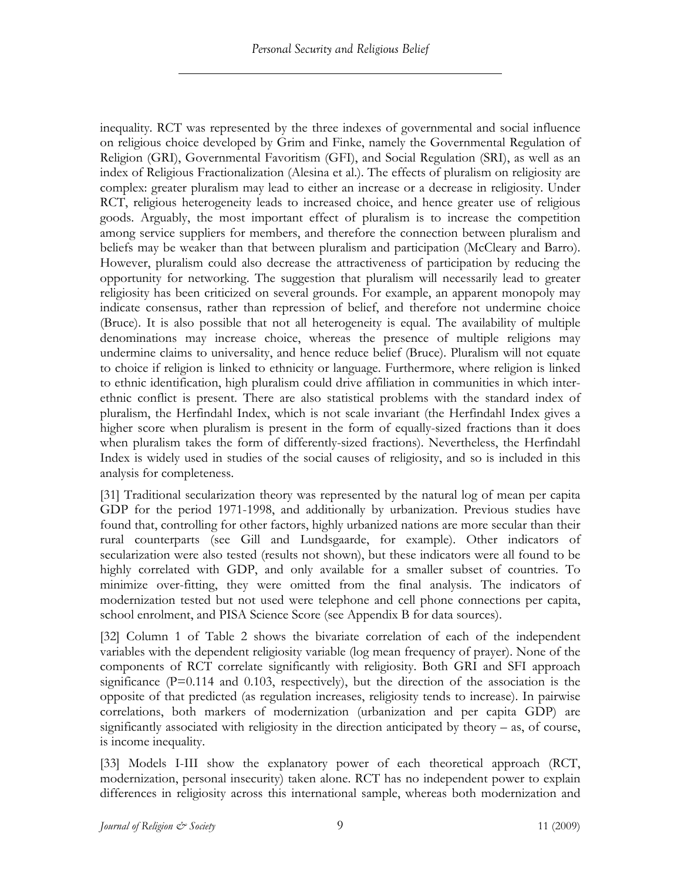inequality. RCT was represented by the three indexes of governmental and social influence on religious choice developed by Grim and Finke, namely the Governmental Regulation of Religion (GRI), Governmental Favoritism (GFI), and Social Regulation (SRI), as well as an index of Religious Fractionalization (Alesina et al.). The effects of pluralism on religiosity are complex: greater pluralism may lead to either an increase or a decrease in religiosity. Under RCT, religious heterogeneity leads to increased choice, and hence greater use of religious goods. Arguably, the most important effect of pluralism is to increase the competition among service suppliers for members, and therefore the connection between pluralism and beliefs may be weaker than that between pluralism and participation (McCleary and Barro). However, pluralism could also decrease the attractiveness of participation by reducing the opportunity for networking. The suggestion that pluralism will necessarily lead to greater religiosity has been criticized on several grounds. For example, an apparent monopoly may indicate consensus, rather than repression of belief, and therefore not undermine choice (Bruce). It is also possible that not all heterogeneity is equal. The availability of multiple denominations may increase choice, whereas the presence of multiple religions may undermine claims to universality, and hence reduce belief (Bruce). Pluralism will not equate to choice if religion is linked to ethnicity or language. Furthermore, where religion is linked to ethnic identification, high pluralism could drive affiliation in communities in which interethnic conflict is present. There are also statistical problems with the standard index of pluralism, the Herfindahl Index, which is not scale invariant (the Herfindahl Index gives a higher score when pluralism is present in the form of equally-sized fractions than it does when pluralism takes the form of differently-sized fractions). Nevertheless, the Herfindahl Index is widely used in studies of the social causes of religiosity, and so is included in this analysis for completeness.

[31] Traditional secularization theory was represented by the natural log of mean per capita GDP for the period 1971-1998, and additionally by urbanization. Previous studies have found that, controlling for other factors, highly urbanized nations are more secular than their rural counterparts (see Gill and Lundsgaarde, for example). Other indicators of secularization were also tested (results not shown), but these indicators were all found to be highly correlated with GDP, and only available for a smaller subset of countries. To minimize over-fitting, they were omitted from the final analysis. The indicators of modernization tested but not used were telephone and cell phone connections per capita, school enrolment, and PISA Science Score (see Appendix B for data sources).

[32] Column 1 of Table 2 shows the bivariate correlation of each of the independent variables with the dependent religiosity variable (log mean frequency of prayer). None of the components of RCT correlate significantly with religiosity. Both GRI and SFI approach significance (P=0.114 and 0.103, respectively), but the direction of the association is the opposite of that predicted (as regulation increases, religiosity tends to increase). In pairwise correlations, both markers of modernization (urbanization and per capita GDP) are significantly associated with religiosity in the direction anticipated by theory – as, of course, is income inequality.

[33] Models I-III show the explanatory power of each theoretical approach (RCT, modernization, personal insecurity) taken alone. RCT has no independent power to explain differences in religiosity across this international sample, whereas both modernization and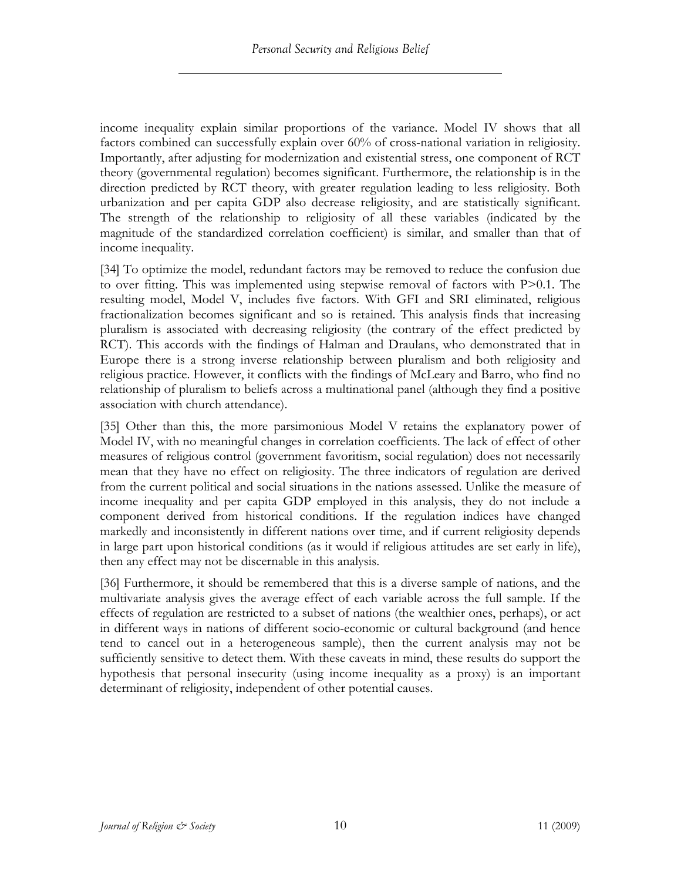income inequality explain similar proportions of the variance. Model IV shows that all factors combined can successfully explain over 60% of cross-national variation in religiosity. Importantly, after adjusting for modernization and existential stress, one component of RCT theory (governmental regulation) becomes significant. Furthermore, the relationship is in the direction predicted by RCT theory, with greater regulation leading to less religiosity. Both urbanization and per capita GDP also decrease religiosity, and are statistically significant. The strength of the relationship to religiosity of all these variables (indicated by the magnitude of the standardized correlation coefficient) is similar, and smaller than that of income inequality.

[34] To optimize the model, redundant factors may be removed to reduce the confusion due to over fitting. This was implemented using stepwise removal of factors with P>0.1. The resulting model, Model V, includes five factors. With GFI and SRI eliminated, religious fractionalization becomes significant and so is retained. This analysis finds that increasing pluralism is associated with decreasing religiosity (the contrary of the effect predicted by RCT). This accords with the findings of Halman and Draulans, who demonstrated that in Europe there is a strong inverse relationship between pluralism and both religiosity and religious practice. However, it conflicts with the findings of McLeary and Barro, who find no relationship of pluralism to beliefs across a multinational panel (although they find a positive association with church attendance).

[35] Other than this, the more parsimonious Model V retains the explanatory power of Model IV, with no meaningful changes in correlation coefficients. The lack of effect of other measures of religious control (government favoritism, social regulation) does not necessarily mean that they have no effect on religiosity. The three indicators of regulation are derived from the current political and social situations in the nations assessed. Unlike the measure of income inequality and per capita GDP employed in this analysis, they do not include a component derived from historical conditions. If the regulation indices have changed markedly and inconsistently in different nations over time, and if current religiosity depends in large part upon historical conditions (as it would if religious attitudes are set early in life), then any effect may not be discernable in this analysis.

[36] Furthermore, it should be remembered that this is a diverse sample of nations, and the multivariate analysis gives the average effect of each variable across the full sample. If the effects of regulation are restricted to a subset of nations (the wealthier ones, perhaps), or act in different ways in nations of different socio-economic or cultural background (and hence tend to cancel out in a heterogeneous sample), then the current analysis may not be sufficiently sensitive to detect them. With these caveats in mind, these results do support the hypothesis that personal insecurity (using income inequality as a proxy) is an important determinant of religiosity, independent of other potential causes.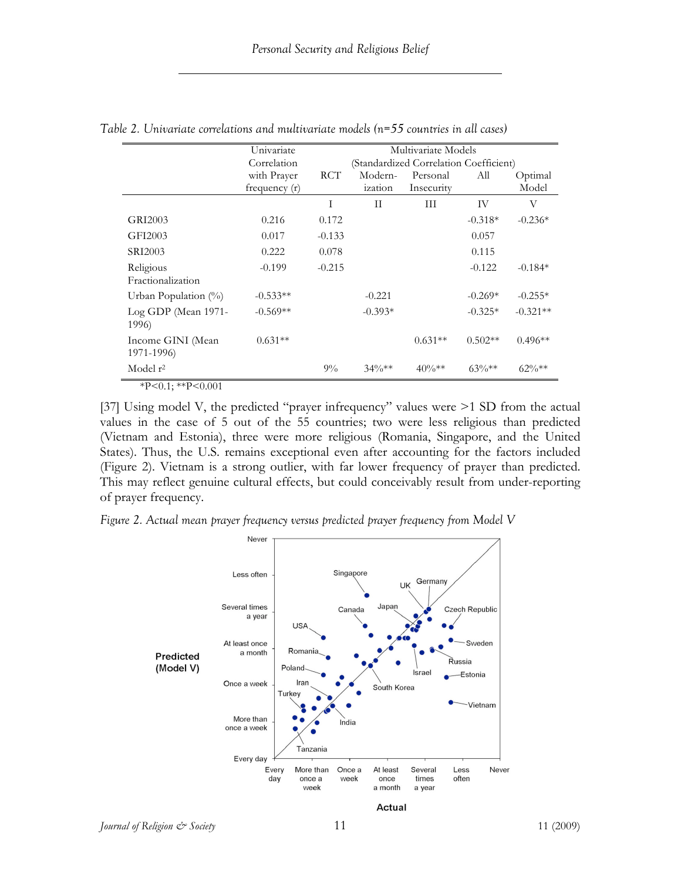|                                 | Univariate      |            | Multivariate Models |                                        |           |            |
|---------------------------------|-----------------|------------|---------------------|----------------------------------------|-----------|------------|
|                                 | Correlation     |            |                     | (Standardized Correlation Coefficient) |           |            |
|                                 | with Prayer     | <b>RCT</b> | Modern-             | Personal                               | All       | Optimal    |
|                                 | frequency $(r)$ |            | ization             | Insecurity                             |           | Model      |
|                                 |                 | T          | $\mathbf{H}$        | Ш                                      | <b>IV</b> | V          |
| GRI2003                         | 0.216           | 0.172      |                     |                                        | $-0.318*$ | $-0.236*$  |
| GFI2003                         | 0.017           | $-0.133$   |                     |                                        | 0.057     |            |
| SRI2003                         | 0.222           | 0.078      |                     |                                        | 0.115     |            |
| Religious                       | $-0.199$        | $-0.215$   |                     |                                        | $-0.122$  | $-0.184*$  |
| Fractionalization               |                 |            |                     |                                        |           |            |
| Urban Population $(\%)$         | $-0.533**$      |            | $-0.221$            |                                        | $-0.269*$ | $-0.255*$  |
| Log GDP (Mean 1971-<br>1996)    | $-0.569**$      |            | $-0.393*$           |                                        | $-0.325*$ | $-0.321**$ |
| Income GINI (Mean<br>1971-1996) | $0.631**$       |            |                     | $0.631**$                              | $0.502**$ | $0.496**$  |
| Model r <sup>2</sup>            |                 | $9\%$      | $34\%**$            | $40\%**$                               | $63\%**$  | $62\%**$   |

*Table 2. Univariate correlations and multivariate models (n=55 countries in all cases)* 

 $*P<0.1; **P<0.001$ 

[37] Using model V, the predicted "prayer infrequency" values were  $\geq 1$  SD from the actual values in the case of 5 out of the 55 countries; two were less religious than predicted (Vietnam and Estonia), three were more religious (Romania, Singapore, and the United States). Thus, the U.S. remains exceptional even after accounting for the factors included (Figure 2). Vietnam is a strong outlier, with far lower frequency of prayer than predicted. This may reflect genuine cultural effects, but could conceivably result from under-reporting of prayer frequency.

*Figure 2. Actual mean prayer frequency versus predicted prayer frequency from Model V*



*Journal of Religion*  $\mathcal{O}$  *Society* 11 11 (2009)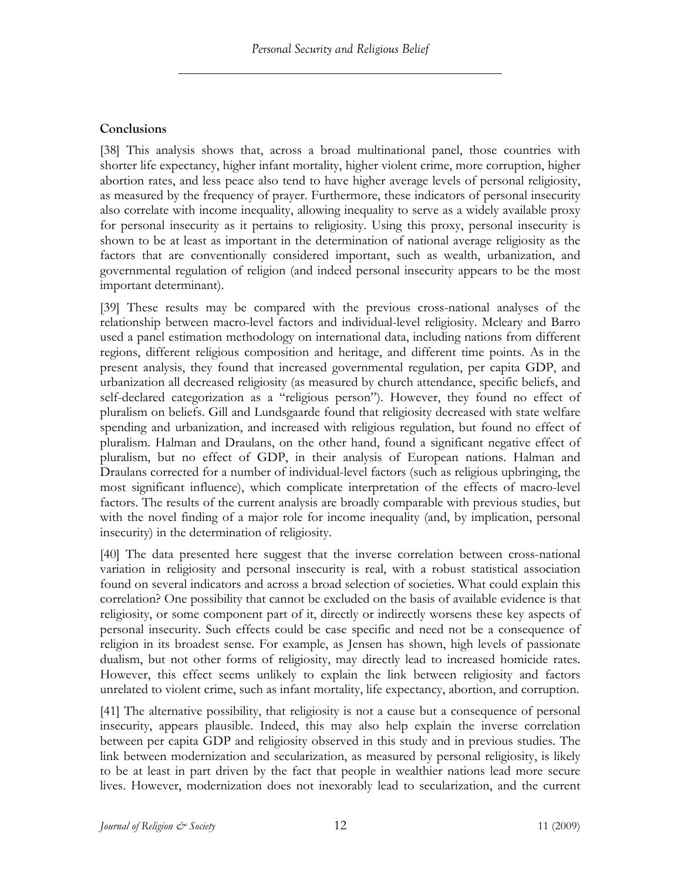## **Conclusions**

[38] This analysis shows that, across a broad multinational panel, those countries with shorter life expectancy, higher infant mortality, higher violent crime, more corruption, higher abortion rates, and less peace also tend to have higher average levels of personal religiosity, as measured by the frequency of prayer. Furthermore, these indicators of personal insecurity also correlate with income inequality, allowing inequality to serve as a widely available proxy for personal insecurity as it pertains to religiosity. Using this proxy, personal insecurity is shown to be at least as important in the determination of national average religiosity as the factors that are conventionally considered important, such as wealth, urbanization, and governmental regulation of religion (and indeed personal insecurity appears to be the most important determinant).

[39] These results may be compared with the previous cross-national analyses of the relationship between macro-level factors and individual-level religiosity. Mcleary and Barro used a panel estimation methodology on international data, including nations from different regions, different religious composition and heritage, and different time points. As in the present analysis, they found that increased governmental regulation, per capita GDP, and urbanization all decreased religiosity (as measured by church attendance, specific beliefs, and self-declared categorization as a "religious person"). However, they found no effect of pluralism on beliefs. Gill and Lundsgaarde found that religiosity decreased with state welfare spending and urbanization, and increased with religious regulation, but found no effect of pluralism. Halman and Draulans, on the other hand, found a significant negative effect of pluralism, but no effect of GDP, in their analysis of European nations. Halman and Draulans corrected for a number of individual-level factors (such as religious upbringing, the most significant influence), which complicate interpretation of the effects of macro-level factors. The results of the current analysis are broadly comparable with previous studies, but with the novel finding of a major role for income inequality (and, by implication, personal insecurity) in the determination of religiosity.

[40] The data presented here suggest that the inverse correlation between cross-national variation in religiosity and personal insecurity is real, with a robust statistical association found on several indicators and across a broad selection of societies. What could explain this correlation? One possibility that cannot be excluded on the basis of available evidence is that religiosity, or some component part of it, directly or indirectly worsens these key aspects of personal insecurity. Such effects could be case specific and need not be a consequence of religion in its broadest sense. For example, as Jensen has shown, high levels of passionate dualism, but not other forms of religiosity, may directly lead to increased homicide rates. However, this effect seems unlikely to explain the link between religiosity and factors unrelated to violent crime, such as infant mortality, life expectancy, abortion, and corruption.

[41] The alternative possibility, that religiosity is not a cause but a consequence of personal insecurity, appears plausible. Indeed, this may also help explain the inverse correlation between per capita GDP and religiosity observed in this study and in previous studies. The link between modernization and secularization, as measured by personal religiosity, is likely to be at least in part driven by the fact that people in wealthier nations lead more secure lives. However, modernization does not inexorably lead to secularization, and the current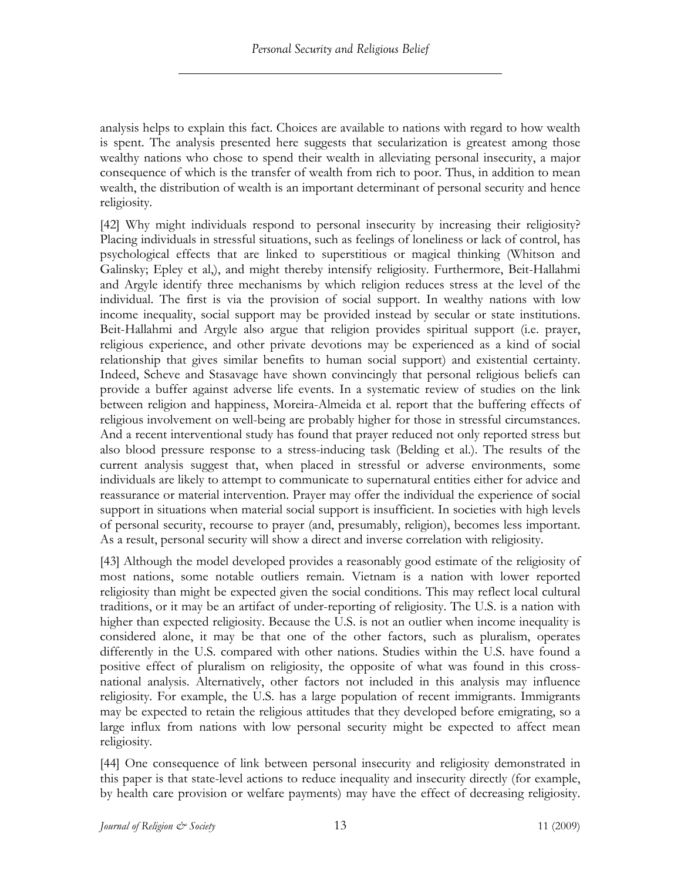analysis helps to explain this fact. Choices are available to nations with regard to how wealth is spent. The analysis presented here suggests that secularization is greatest among those wealthy nations who chose to spend their wealth in alleviating personal insecurity, a major consequence of which is the transfer of wealth from rich to poor. Thus, in addition to mean wealth, the distribution of wealth is an important determinant of personal security and hence religiosity.

[42] Why might individuals respond to personal insecurity by increasing their religiosity? Placing individuals in stressful situations, such as feelings of loneliness or lack of control, has psychological effects that are linked to superstitious or magical thinking (Whitson and Galinsky; Epley et al,), and might thereby intensify religiosity. Furthermore, Beit-Hallahmi and Argyle identify three mechanisms by which religion reduces stress at the level of the individual. The first is via the provision of social support. In wealthy nations with low income inequality, social support may be provided instead by secular or state institutions. Beit-Hallahmi and Argyle also argue that religion provides spiritual support (i.e. prayer, religious experience, and other private devotions may be experienced as a kind of social relationship that gives similar benefits to human social support) and existential certainty. Indeed, Scheve and Stasavage have shown convincingly that personal religious beliefs can provide a buffer against adverse life events. In a systematic review of studies on the link between religion and happiness, Moreira-Almeida et al. report that the buffering effects of religious involvement on well-being are probably higher for those in stressful circumstances. And a recent interventional study has found that prayer reduced not only reported stress but also blood pressure response to a stress-inducing task (Belding et al.). The results of the current analysis suggest that, when placed in stressful or adverse environments, some individuals are likely to attempt to communicate to supernatural entities either for advice and reassurance or material intervention. Prayer may offer the individual the experience of social support in situations when material social support is insufficient. In societies with high levels of personal security, recourse to prayer (and, presumably, religion), becomes less important. As a result, personal security will show a direct and inverse correlation with religiosity.

[43] Although the model developed provides a reasonably good estimate of the religiosity of most nations, some notable outliers remain. Vietnam is a nation with lower reported religiosity than might be expected given the social conditions. This may reflect local cultural traditions, or it may be an artifact of under-reporting of religiosity. The U.S. is a nation with higher than expected religiosity. Because the U.S. is not an outlier when income inequality is considered alone, it may be that one of the other factors, such as pluralism, operates differently in the U.S. compared with other nations. Studies within the U.S. have found a positive effect of pluralism on religiosity, the opposite of what was found in this crossnational analysis. Alternatively, other factors not included in this analysis may influence religiosity. For example, the U.S. has a large population of recent immigrants. Immigrants may be expected to retain the religious attitudes that they developed before emigrating, so a large influx from nations with low personal security might be expected to affect mean religiosity.

[44] One consequence of link between personal insecurity and religiosity demonstrated in this paper is that state-level actions to reduce inequality and insecurity directly (for example, by health care provision or welfare payments) may have the effect of decreasing religiosity.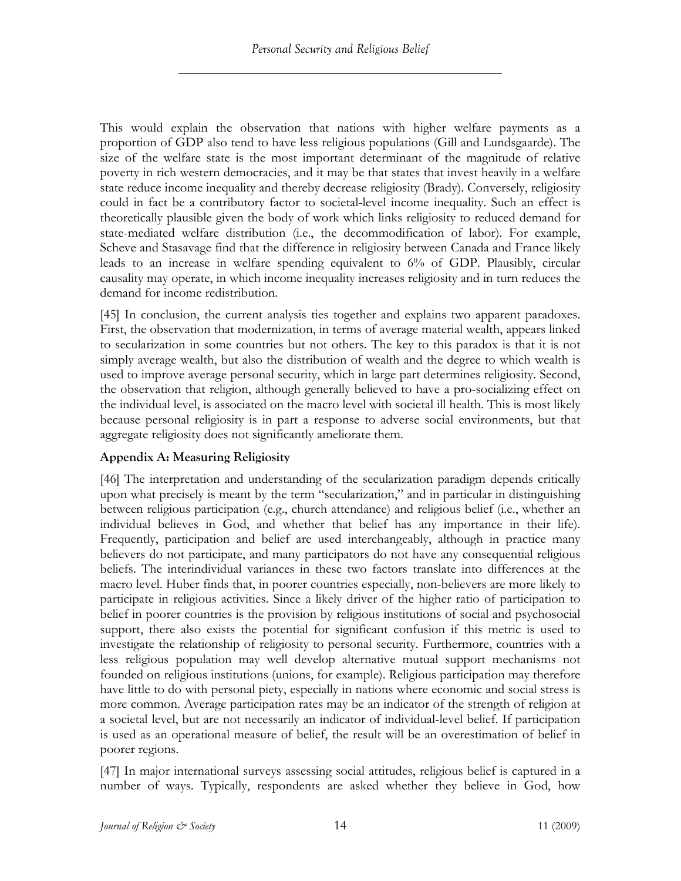This would explain the observation that nations with higher welfare payments as a proportion of GDP also tend to have less religious populations (Gill and Lundsgaarde). The size of the welfare state is the most important determinant of the magnitude of relative poverty in rich western democracies, and it may be that states that invest heavily in a welfare state reduce income inequality and thereby decrease religiosity (Brady). Conversely, religiosity could in fact be a contributory factor to societal-level income inequality. Such an effect is theoretically plausible given the body of work which links religiosity to reduced demand for state-mediated welfare distribution (i.e., the decommodification of labor). For example, Scheve and Stasavage find that the difference in religiosity between Canada and France likely leads to an increase in welfare spending equivalent to 6% of GDP. Plausibly, circular causality may operate, in which income inequality increases religiosity and in turn reduces the demand for income redistribution.

[45] In conclusion, the current analysis ties together and explains two apparent paradoxes. First, the observation that modernization, in terms of average material wealth, appears linked to secularization in some countries but not others. The key to this paradox is that it is not simply average wealth, but also the distribution of wealth and the degree to which wealth is used to improve average personal security, which in large part determines religiosity. Second, the observation that religion, although generally believed to have a pro-socializing effect on the individual level, is associated on the macro level with societal ill health. This is most likely because personal religiosity is in part a response to adverse social environments, but that aggregate religiosity does not significantly ameliorate them.

## **Appendix A: Measuring Religiosity**

[46] The interpretation and understanding of the secularization paradigm depends critically upon what precisely is meant by the term "secularization," and in particular in distinguishing between religious participation (e.g., church attendance) and religious belief (i.e., whether an individual believes in God, and whether that belief has any importance in their life). Frequently, participation and belief are used interchangeably, although in practice many believers do not participate, and many participators do not have any consequential religious beliefs. The interindividual variances in these two factors translate into differences at the macro level. Huber finds that, in poorer countries especially, non-believers are more likely to participate in religious activities. Since a likely driver of the higher ratio of participation to belief in poorer countries is the provision by religious institutions of social and psychosocial support, there also exists the potential for significant confusion if this metric is used to investigate the relationship of religiosity to personal security. Furthermore, countries with a less religious population may well develop alternative mutual support mechanisms not founded on religious institutions (unions, for example). Religious participation may therefore have little to do with personal piety, especially in nations where economic and social stress is more common. Average participation rates may be an indicator of the strength of religion at a societal level, but are not necessarily an indicator of individual-level belief. If participation is used as an operational measure of belief, the result will be an overestimation of belief in poorer regions.

[47] In major international surveys assessing social attitudes, religious belief is captured in a number of ways. Typically, respondents are asked whether they believe in God, how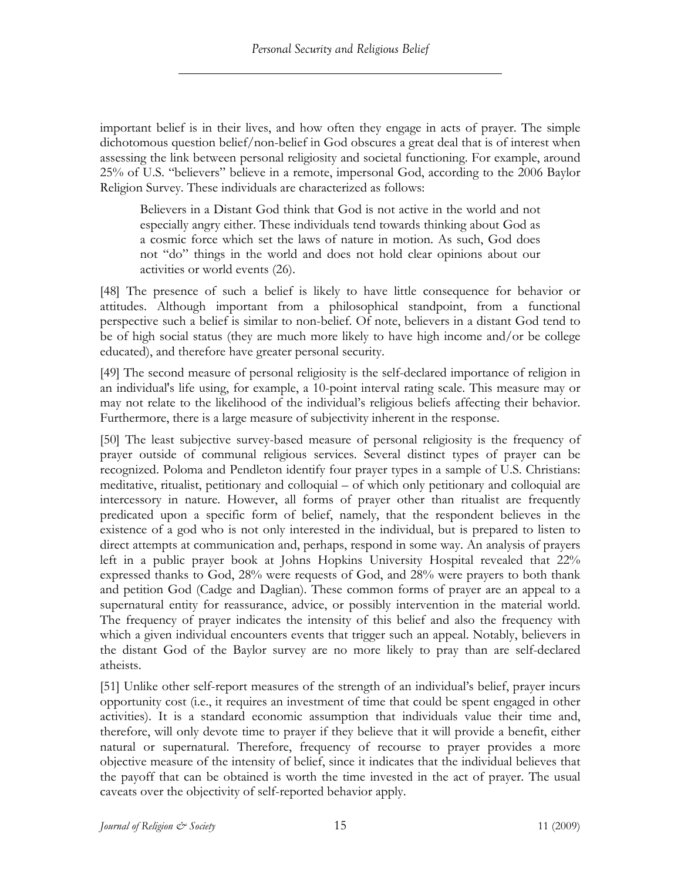important belief is in their lives, and how often they engage in acts of prayer. The simple dichotomous question belief/non-belief in God obscures a great deal that is of interest when assessing the link between personal religiosity and societal functioning. For example, around 25% of U.S. "believers" believe in a remote, impersonal God, according to the 2006 Baylor Religion Survey. These individuals are characterized as follows:

Believers in a Distant God think that God is not active in the world and not especially angry either. These individuals tend towards thinking about God as a cosmic force which set the laws of nature in motion. As such, God does not "do" things in the world and does not hold clear opinions about our activities or world events (26).

[48] The presence of such a belief is likely to have little consequence for behavior or attitudes. Although important from a philosophical standpoint, from a functional perspective such a belief is similar to non-belief. Of note, believers in a distant God tend to be of high social status (they are much more likely to have high income and/or be college educated), and therefore have greater personal security.

[49] The second measure of personal religiosity is the self-declared importance of religion in an individual's life using, for example, a 10-point interval rating scale. This measure may or may not relate to the likelihood of the individual's religious beliefs affecting their behavior. Furthermore, there is a large measure of subjectivity inherent in the response.

[50] The least subjective survey-based measure of personal religiosity is the frequency of prayer outside of communal religious services. Several distinct types of prayer can be recognized. Poloma and Pendleton identify four prayer types in a sample of U.S. Christians: meditative, ritualist, petitionary and colloquial – of which only petitionary and colloquial are intercessory in nature. However, all forms of prayer other than ritualist are frequently predicated upon a specific form of belief, namely, that the respondent believes in the existence of a god who is not only interested in the individual, but is prepared to listen to direct attempts at communication and, perhaps, respond in some way. An analysis of prayers left in a public prayer book at Johns Hopkins University Hospital revealed that 22% expressed thanks to God, 28% were requests of God, and 28% were prayers to both thank and petition God (Cadge and Daglian). These common forms of prayer are an appeal to a supernatural entity for reassurance, advice, or possibly intervention in the material world. The frequency of prayer indicates the intensity of this belief and also the frequency with which a given individual encounters events that trigger such an appeal. Notably, believers in the distant God of the Baylor survey are no more likely to pray than are self-declared atheists.

[51] Unlike other self-report measures of the strength of an individual's belief, prayer incurs opportunity cost (i.e., it requires an investment of time that could be spent engaged in other activities). It is a standard economic assumption that individuals value their time and, therefore, will only devote time to prayer if they believe that it will provide a benefit, either natural or supernatural. Therefore, frequency of recourse to prayer provides a more objective measure of the intensity of belief, since it indicates that the individual believes that the payoff that can be obtained is worth the time invested in the act of prayer. The usual caveats over the objectivity of self-reported behavior apply.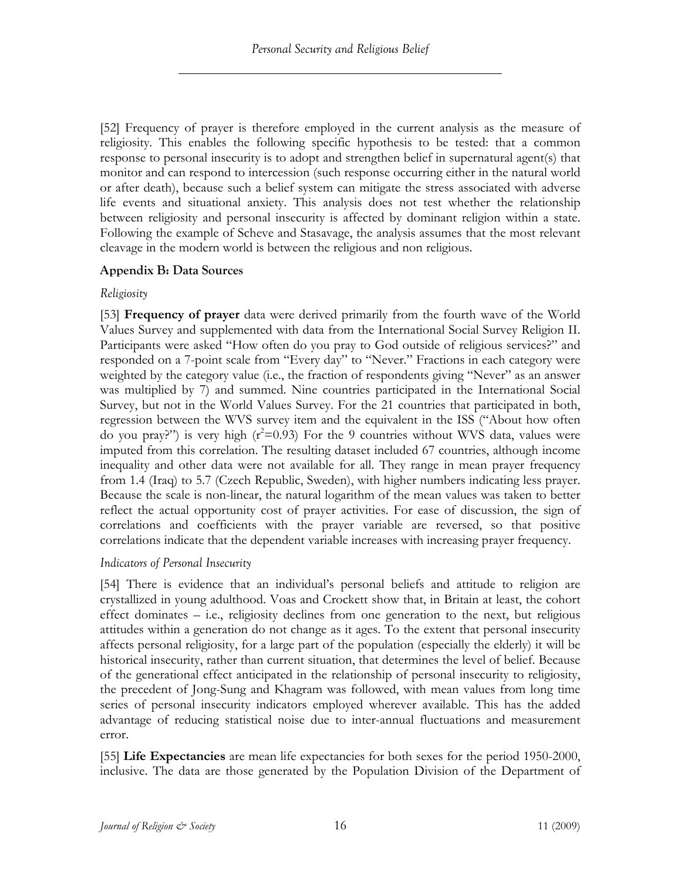[52] Frequency of prayer is therefore employed in the current analysis as the measure of religiosity. This enables the following specific hypothesis to be tested: that a common response to personal insecurity is to adopt and strengthen belief in supernatural agent(s) that monitor and can respond to intercession (such response occurring either in the natural world or after death), because such a belief system can mitigate the stress associated with adverse life events and situational anxiety. This analysis does not test whether the relationship between religiosity and personal insecurity is affected by dominant religion within a state. Following the example of Scheve and Stasavage, the analysis assumes that the most relevant cleavage in the modern world is between the religious and non religious.

## **Appendix B: Data Sources**

## *Religiosity*

[53] **Frequency of prayer** data were derived primarily from the fourth wave of the World Values Survey and supplemented with data from the International Social Survey Religion II. Participants were asked "How often do you pray to God outside of religious services?" and responded on a 7-point scale from "Every day" to "Never." Fractions in each category were weighted by the category value (i.e., the fraction of respondents giving "Never" as an answer was multiplied by 7) and summed. Nine countries participated in the International Social Survey, but not in the World Values Survey. For the 21 countries that participated in both, regression between the WVS survey item and the equivalent in the ISS ("About how often do you pray?") is very high  $(r^2=0.93)$  For the 9 countries without WVS data, values were imputed from this correlation. The resulting dataset included 67 countries, although income inequality and other data were not available for all. They range in mean prayer frequency from 1.4 (Iraq) to 5.7 (Czech Republic, Sweden), with higher numbers indicating less prayer. Because the scale is non-linear, the natural logarithm of the mean values was taken to better reflect the actual opportunity cost of prayer activities. For ease of discussion, the sign of correlations and coefficients with the prayer variable are reversed, so that positive correlations indicate that the dependent variable increases with increasing prayer frequency.

## *Indicators of Personal Insecurity*

[54] There is evidence that an individual's personal beliefs and attitude to religion are crystallized in young adulthood. Voas and Crockett show that, in Britain at least, the cohort effect dominates – i.e., religiosity declines from one generation to the next, but religious attitudes within a generation do not change as it ages. To the extent that personal insecurity affects personal religiosity, for a large part of the population (especially the elderly) it will be historical insecurity, rather than current situation, that determines the level of belief. Because of the generational effect anticipated in the relationship of personal insecurity to religiosity, the precedent of Jong-Sung and Khagram was followed, with mean values from long time series of personal insecurity indicators employed wherever available. This has the added advantage of reducing statistical noise due to inter-annual fluctuations and measurement error.

[55] **Life Expectancies** are mean life expectancies for both sexes for the period 1950-2000, inclusive. The data are those generated by the Population Division of the Department of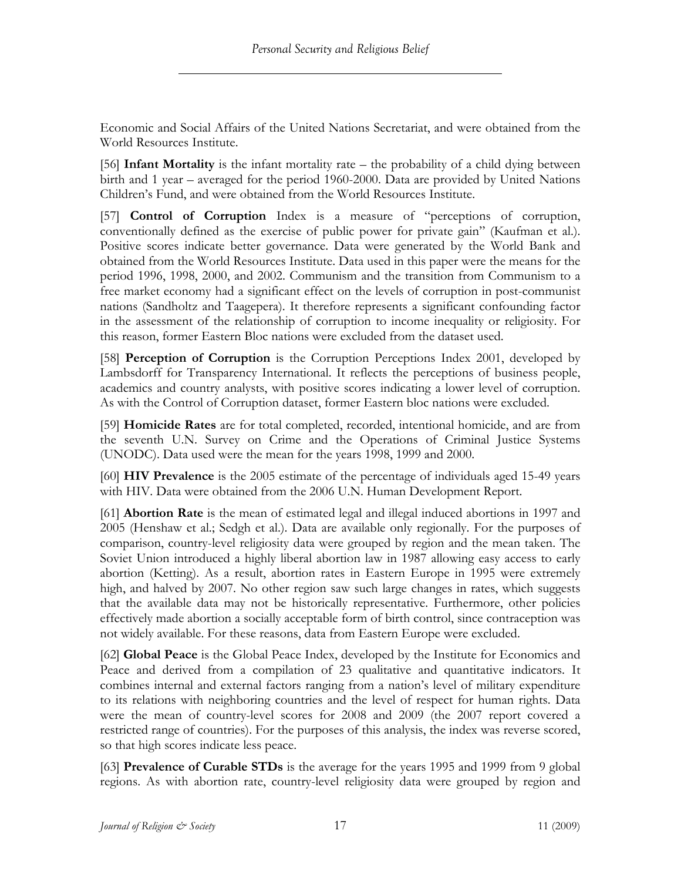Economic and Social Affairs of the United Nations Secretariat, and were obtained from the World Resources Institute.

[56] **Infant Mortality** is the infant mortality rate – the probability of a child dying between birth and 1 year – averaged for the period 1960-2000. Data are provided by United Nations Children's Fund, and were obtained from the World Resources Institute.

[57] **Control of Corruption** Index is a measure of "perceptions of corruption, conventionally defined as the exercise of public power for private gain" (Kaufman et al.). Positive scores indicate better governance. Data were generated by the World Bank and obtained from the World Resources Institute. Data used in this paper were the means for the period 1996, 1998, 2000, and 2002. Communism and the transition from Communism to a free market economy had a significant effect on the levels of corruption in post-communist nations (Sandholtz and Taagepera). It therefore represents a significant confounding factor in the assessment of the relationship of corruption to income inequality or religiosity. For this reason, former Eastern Bloc nations were excluded from the dataset used.

[58] **Perception of Corruption** is the Corruption Perceptions Index 2001, developed by Lambsdorff for Transparency International. It reflects the perceptions of business people, academics and country analysts, with positive scores indicating a lower level of corruption. As with the Control of Corruption dataset, former Eastern bloc nations were excluded.

[59] **Homicide Rates** are for total completed, recorded, intentional homicide, and are from the seventh U.N. Survey on Crime and the Operations of Criminal Justice Systems (UNODC). Data used were the mean for the years 1998, 1999 and 2000.

[60] **HIV Prevalence** is the 2005 estimate of the percentage of individuals aged 15-49 years with HIV. Data were obtained from the 2006 U.N. Human Development Report.

[61] **Abortion Rate** is the mean of estimated legal and illegal induced abortions in 1997 and 2005 (Henshaw et al.; Sedgh et al.). Data are available only regionally. For the purposes of comparison, country-level religiosity data were grouped by region and the mean taken. The Soviet Union introduced a highly liberal abortion law in 1987 allowing easy access to early abortion (Ketting). As a result, abortion rates in Eastern Europe in 1995 were extremely high, and halved by 2007. No other region saw such large changes in rates, which suggests that the available data may not be historically representative. Furthermore, other policies effectively made abortion a socially acceptable form of birth control, since contraception was not widely available. For these reasons, data from Eastern Europe were excluded.

[62] **Global Peace** is the Global Peace Index, developed by the Institute for Economics and Peace and derived from a compilation of 23 qualitative and quantitative indicators. It combines internal and external factors ranging from a nation's level of military expenditure to its relations with neighboring countries and the level of respect for human rights. Data were the mean of country-level scores for 2008 and 2009 (the 2007 report covered a restricted range of countries). For the purposes of this analysis, the index was reverse scored, so that high scores indicate less peace.

[63] **Prevalence of Curable STDs** is the average for the years 1995 and 1999 from 9 global regions. As with abortion rate, country-level religiosity data were grouped by region and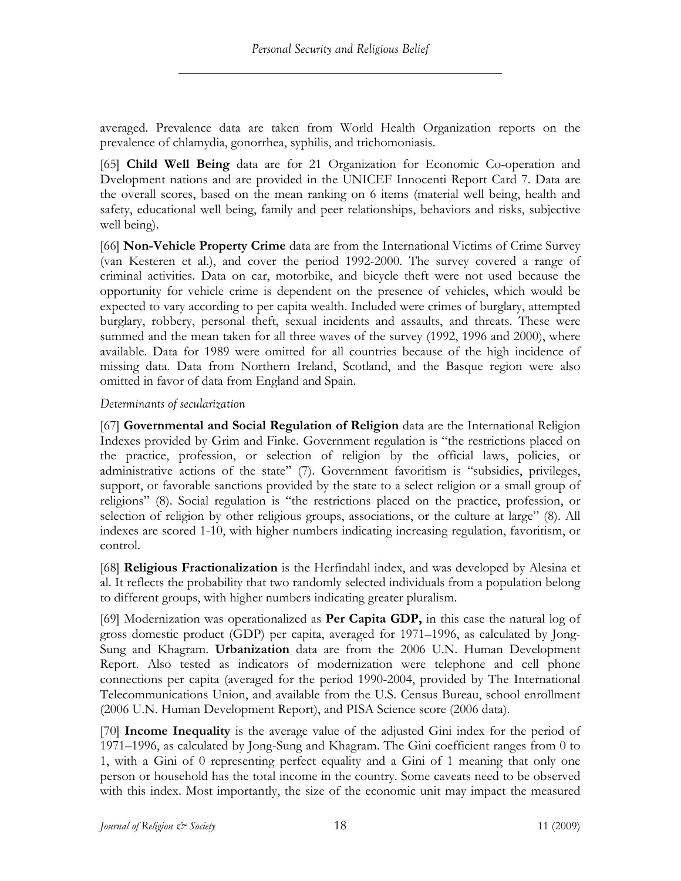averaged. Prevalence data are taken from World Health Organization reports on the prevalence of chlamydia, gonorrhea, syphilis, and trichomoniasis.

[65] **Child Well Being** data are for 21 Organization for Economic Co-operation and Dvelopment nations and are provided in the UNICEF Innocenti Report Card 7. Data are the overall scores, based on the mean ranking on 6 items (material well being, health and safety, educational well being, family and peer relationships, behaviors and risks, subjective well being).

[66] **Non-Vehicle Property Crime** data are from the International Victims of Crime Survey (van Kesteren et al.), and cover the period 1992-2000. The survey covered a range of criminal activities. Data on car, motorbike, and bicycle theft were not used because the opportunity for vehicle crime is dependent on the presence of vehicles, which would be expected to vary according to per capita wealth. Included were crimes of burglary, attempted burglary, robbery, personal theft, sexual incidents and assaults, and threats. These were summed and the mean taken for all three waves of the survey (1992, 1996 and 2000), where available. Data for 1989 were omitted for all countries because of the high incidence of missing data. Data from Northern Ireland, Scotland, and the Basque region were also omitted in favor of data from England and Spain.

### *Determinants of secularization*

[67] **Governmental and Social Regulation of Religion** data are the International Religion Indexes provided by Grim and Finke. Government regulation is "the restrictions placed on the practice, profession, or selection of religion by the official laws, policies, or administrative actions of the state" (7). Government favoritism is "subsidies, privileges, support, or favorable sanctions provided by the state to a select religion or a small group of religions" (8). Social regulation is "the restrictions placed on the practice, profession, or selection of religion by other religious groups, associations, or the culture at large" (8). All indexes are scored 1-10, with higher numbers indicating increasing regulation, favoritism, or control.

[68] **Religious Fractionalization** is the Herfindahl index, and was developed by Alesina et al. It reflects the probability that two randomly selected individuals from a population belong to different groups, with higher numbers indicating greater pluralism.

[69] Modernization was operationalized as **Per Capita GDP,** in this case the natural log of gross domestic product (GDP) per capita, averaged for 1971–1996, as calculated by Jong-Sung and Khagram. **Urbanization** data are from the 2006 U.N. Human Development Report. Also tested as indicators of modernization were telephone and cell phone connections per capita (averaged for the period 1990-2004, provided by The International Telecommunications Union, and available from the U.S. Census Bureau, school enrollment (2006 U.N. Human Development Report), and PISA Science score (2006 data).

[70] **Income Inequality** is the average value of the adjusted Gini index for the period of 1971–1996, as calculated by Jong-Sung and Khagram. The Gini coefficient ranges from 0 to 1, with a Gini of 0 representing perfect equality and a Gini of 1 meaning that only one person or household has the total income in the country. Some caveats need to be observed with this index. Most importantly, the size of the economic unit may impact the measured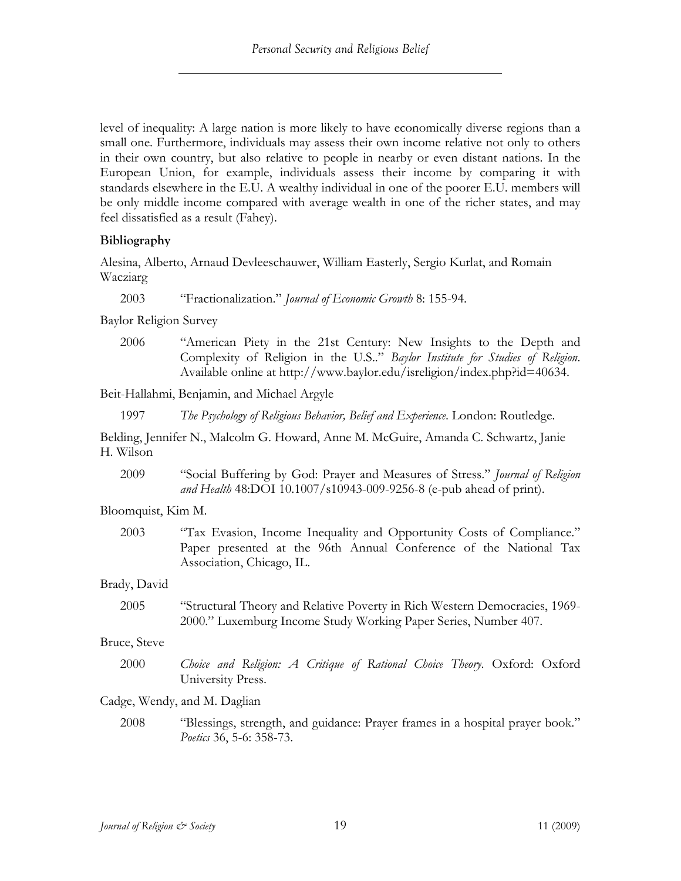level of inequality: A large nation is more likely to have economically diverse regions than a small one. Furthermore, individuals may assess their own income relative not only to others in their own country, but also relative to people in nearby or even distant nations. In the European Union, for example, individuals assess their income by comparing it with standards elsewhere in the E.U. A wealthy individual in one of the poorer E.U. members will be only middle income compared with average wealth in one of the richer states, and may feel dissatisfied as a result (Fahey).

## **Bibliography**

Alesina, Alberto, Arnaud Devleeschauwer, William Easterly, Sergio Kurlat, and Romain Wacziarg

2003 "Fractionalization." *Journal of Economic Growth* 8: 155-94.

Baylor Religion Survey

2006 "American Piety in the 21st Century: New Insights to the Depth and Complexity of Religion in the U.S.." *Baylor Institute for Studies of Religion*. Available online at http://www.baylor.edu/isreligion/index.php?id=40634.

Beit-Hallahmi, Benjamin, and Michael Argyle

1997 *The Psychology of Religious Behavior, Belief and Experience*. London: Routledge.

Belding, Jennifer N., Malcolm G. Howard, Anne M. McGuire, Amanda C. Schwartz, Janie H. Wilson

2009 "Social Buffering by God: Prayer and Measures of Stress." *Journal of Religion and Health* 48:DOI 10.1007/s10943-009-9256-8 (e-pub ahead of print).

#### Bloomquist, Kim M.

2003 "Tax Evasion, Income Inequality and Opportunity Costs of Compliance." Paper presented at the 96th Annual Conference of the National Tax Association, Chicago, IL.

#### Brady, David

2005 "Structural Theory and Relative Poverty in Rich Western Democracies, 1969- 2000." Luxemburg Income Study Working Paper Series, Number 407.

#### Bruce, Steve

2000 *Choice and Religion: A Critique of Rational Choice Theory*. Oxford: Oxford University Press.

## Cadge, Wendy, and M. Daglian

2008 "Blessings, strength, and guidance: Prayer frames in a hospital prayer book." *Poetics* 36, 5-6: 358-73.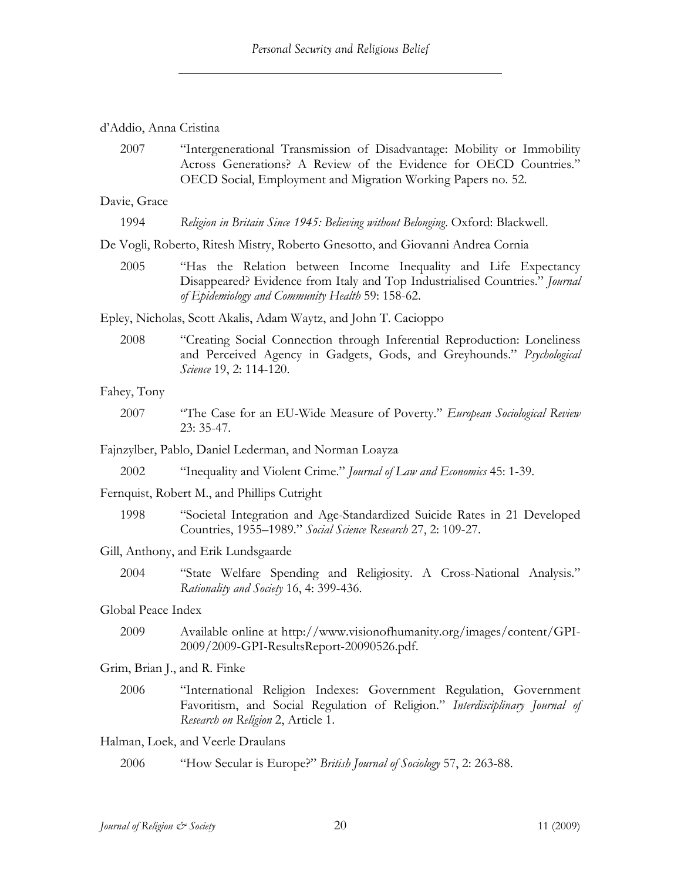#### d'Addio, Anna Cristina

2007 "Intergenerational Transmission of Disadvantage: Mobility or Immobility Across Generations? A Review of the Evidence for OECD Countries." OECD Social, Employment and Migration Working Papers no. 52.

Davie, Grace

1994 *Religion in Britain Since 1945: Believing without Belonging*. Oxford: Blackwell.

De Vogli, Roberto, Ritesh Mistry, Roberto Gnesotto, and Giovanni Andrea Cornia

2005 "Has the Relation between Income Inequality and Life Expectancy Disappeared? Evidence from Italy and Top Industrialised Countries." *Journal of Epidemiology and Community Health* 59: 158-62.

Epley, Nicholas, Scott Akalis, Adam Waytz, and John T. Cacioppo

2008 "Creating Social Connection through Inferential Reproduction: Loneliness and Perceived Agency in Gadgets, Gods, and Greyhounds." *Psychological Science* 19, 2: 114-120.

#### Fahey, Tony

2007 "The Case for an EU-Wide Measure of Poverty." *European Sociological Review* 23: 35-47.

Fajnzylber, Pablo, Daniel Lederman, and Norman Loayza

2002 "Inequality and Violent Crime." *Journal of Law and Economics* 45: 1-39.

Fernquist, Robert M., and Phillips Cutright

1998 "Societal Integration and Age-Standardized Suicide Rates in 21 Developed Countries, 1955–1989." *Social Science Research* 27, 2: 109-27.

Gill, Anthony, and Erik Lundsgaarde

2004 "State Welfare Spending and Religiosity. A Cross-National Analysis." *Rationality and Society* 16, 4: 399-436.

#### Global Peace Index

2009 Available online at http://www.visionofhumanity.org/images/content/GPI-2009/2009-GPI-ResultsReport-20090526.pdf.

Grim, Brian J., and R. Finke

2006 "International Religion Indexes: Government Regulation, Government Favoritism, and Social Regulation of Religion." *Interdisciplinary Journal of Research on Religion* 2, Article 1.

#### Halman, Loek, and Veerle Draulans

2006 "How Secular is Europe?" *British Journal of Sociology* 57, 2: 263-88.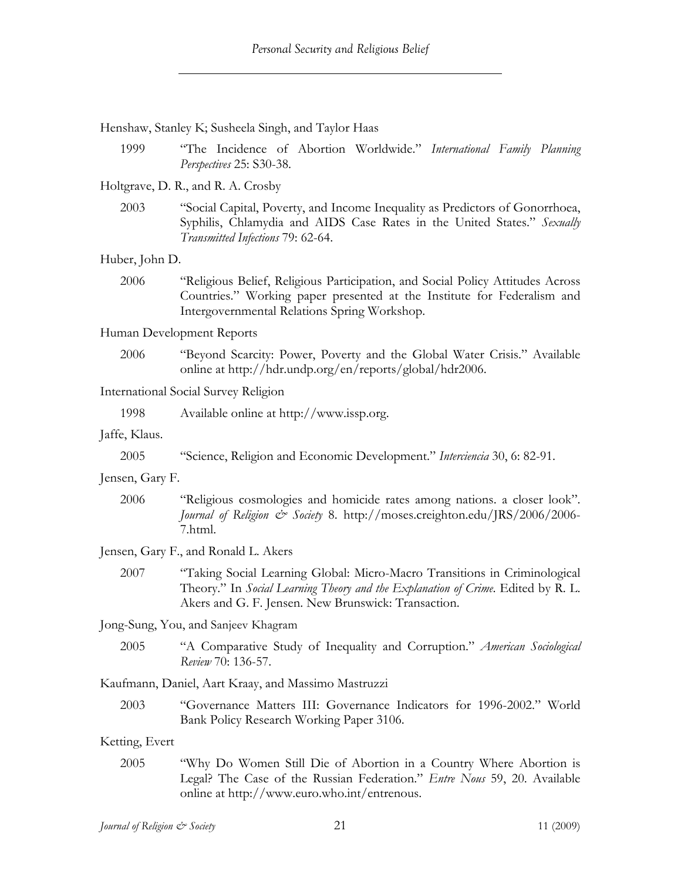Henshaw, Stanley K; Susheela Singh, and Taylor Haas

1999 "The Incidence of Abortion Worldwide." *International Family Planning Perspectives* 25: S30-38.

Holtgrave, D. R., and R. A. Crosby

2003 "Social Capital, Poverty, and Income Inequality as Predictors of Gonorrhoea, Syphilis, Chlamydia and AIDS Case Rates in the United States." *Sexually Transmitted Infections* 79: 62-64.

Huber, John D.

2006 "Religious Belief, Religious Participation, and Social Policy Attitudes Across Countries." Working paper presented at the Institute for Federalism and Intergovernmental Relations Spring Workshop.

Human Development Reports

2006 "Beyond Scarcity: Power, Poverty and the Global Water Crisis." Available online at http://hdr.undp.org/en/reports/global/hdr2006.

International Social Survey Religion

1998 Available online at http://www.issp.org.

Jaffe, Klaus.

Jensen, Gary F.

2006 "Religious cosmologies and homicide rates among nations. a closer look". *Journal of Religion & Society* 8. http://moses.creighton.edu/JRS/2006/2006- 7.html.

Jensen, Gary F., and Ronald L. Akers

2007 "Taking Social Learning Global: Micro-Macro Transitions in Criminological Theory." In *Social Learning Theory and the Explanation of Crime*. Edited by R. L. Akers and G. F. Jensen. New Brunswick: Transaction.

Jong-Sung, You, and Sanjeev Khagram

2005 "A Comparative Study of Inequality and Corruption." *American Sociological Review* 70: 136-57.

Kaufmann, Daniel, Aart Kraay, and Massimo Mastruzzi

2003 "Governance Matters III: Governance Indicators for 1996-2002." World Bank Policy Research Working Paper 3106.

#### Ketting, Evert

2005 "Why Do Women Still Die of Abortion in a Country Where Abortion is Legal? The Case of the Russian Federation." *Entre Nous* 59, 20. Available online at http://www.euro.who.int/entrenous.

<sup>2005</sup> "Science, Religion and Economic Development." *Interciencia* 30, 6: 82-91.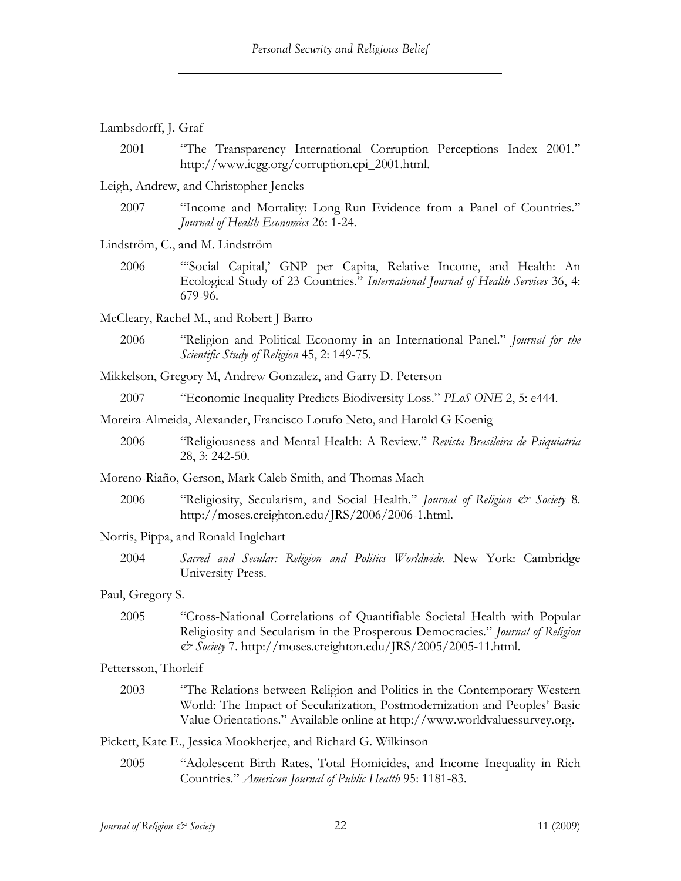| Lambsdorff, J. Graf |  |
|---------------------|--|
|---------------------|--|

2001 "The Transparency International Corruption Perceptions Index 2001." http://www.icgg.org/corruption.cpi\_2001.html.

Leigh, Andrew, and Christopher Jencks

2007 "Income and Mortality: Long-Run Evidence from a Panel of Countries." *Journal of Health Economics* 26: 1-24.

Lindström, C., and M. Lindström

2006 "'Social Capital,' GNP per Capita, Relative Income, and Health: An Ecological Study of 23 Countries." *International Journal of Health Services* 36, 4: 679-96.

McCleary, Rachel M., and Robert J Barro

2006 "Religion and Political Economy in an International Panel." *Journal for the Scientific Study of Religion* 45, 2: 149-75.

Mikkelson, Gregory M, Andrew Gonzalez, and Garry D. Peterson

2007 "Economic Inequality Predicts Biodiversity Loss." *PLoS ONE* 2, 5: e444.

Moreira-Almeida, Alexander, Francisco Lotufo Neto, and Harold G Koenig

2006 "Religiousness and Mental Health: A Review." *Revista Brasileira de Psiquiatria* 28, 3: 242-50.

Moreno-Riaño, Gerson, Mark Caleb Smith, and Thomas Mach

2006 "Religiosity, Secularism, and Social Health." *Journal of Religion & Society* 8. http://moses.creighton.edu/JRS/2006/2006-1.html.

#### Norris, Pippa, and Ronald Inglehart

2004 *Sacred and Secular: Religion and Politics Worldwide*. New York: Cambridge University Press.

#### Paul, Gregory S.

2005 "Cross-National Correlations of Quantifiable Societal Health with Popular Religiosity and Secularism in the Prosperous Democracies." *Journal of Religion & Society* 7. http://moses.creighton.edu/JRS/2005/2005-11.html.

#### Pettersson, Thorleif

2003 "The Relations between Religion and Politics in the Contemporary Western World: The Impact of Secularization, Postmodernization and Peoples' Basic Value Orientations." Available online at http://www.worldvaluessurvey.org.

Pickett, Kate E., Jessica Mookherjee, and Richard G. Wilkinson

2005 "Adolescent Birth Rates, Total Homicides, and Income Inequality in Rich Countries." *American Journal of Public Health* 95: 1181-83.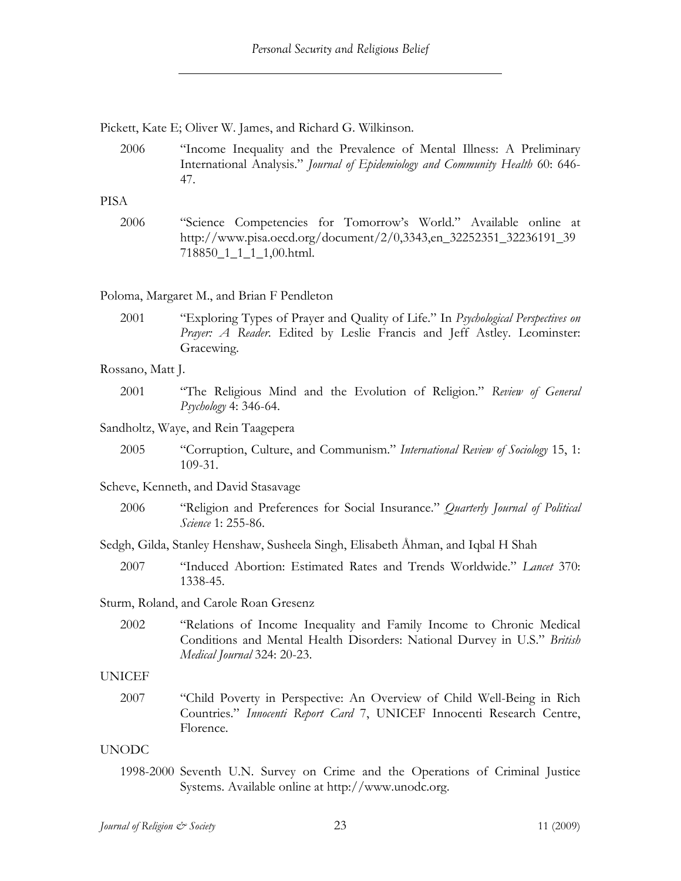Pickett, Kate E; Oliver W. James, and Richard G. Wilkinson.

2006 "Income Inequality and the Prevalence of Mental Illness: A Preliminary International Analysis." *Journal of Epidemiology and Community Health* 60: 646- 47.

#### PISA

2006 "Science Competencies for Tomorrow's World." Available online at http://www.pisa.oecd.org/document/2/0,3343,en\_32252351\_32236191\_39 718850\_1\_1\_1\_1,00.html.

### Poloma, Margaret M., and Brian F Pendleton

2001 "Exploring Types of Prayer and Quality of Life." In *Psychological Perspectives on Prayer: A Reader*. Edited by Leslie Francis and Jeff Astley. Leominster: Gracewing.

#### Rossano, Matt J.

2001 "The Religious Mind and the Evolution of Religion." *Review of General Psychology* 4: 346-64.

#### Sandholtz, Waye, and Rein Taagepera

2005 "Corruption, Culture, and Communism." *International Review of Sociology* 15, 1: 109-31.

#### Scheve, Kenneth, and David Stasavage

2006 "Religion and Preferences for Social Insurance." *Quarterly Journal of Political Science* 1: 255-86.

#### Sedgh, Gilda, Stanley Henshaw, Susheela Singh, Elisabeth Åhman, and Iqbal H Shah

2007 "Induced Abortion: Estimated Rates and Trends Worldwide." *Lancet* 370: 1338-45.

#### Sturm, Roland, and Carole Roan Gresenz

2002 "Relations of Income Inequality and Family Income to Chronic Medical Conditions and Mental Health Disorders: National Durvey in U.S." *British Medical Journal* 324: 20-23.

#### UNICEF

2007 "Child Poverty in Perspective: An Overview of Child Well-Being in Rich Countries." *Innocenti Report Card* 7, UNICEF Innocenti Research Centre, Florence.

#### UNODC

1998-2000 Seventh U.N. Survey on Crime and the Operations of Criminal Justice Systems. Available online at http://www.unodc.org.